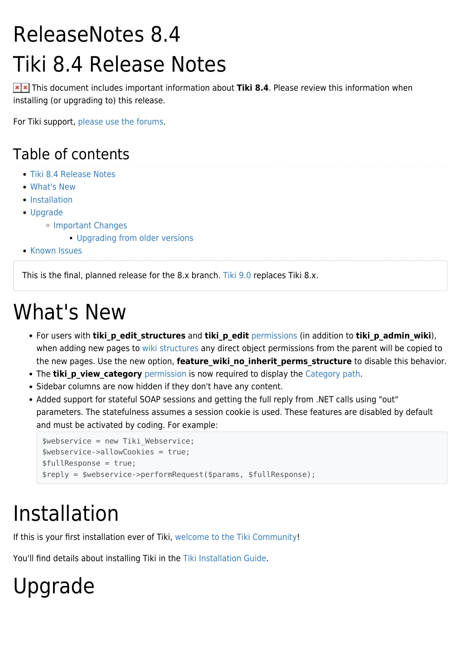## ReleaseNotes 8.4 Tiki 8.4 Release Notes

**x** x This document includes important information about Tiki 8.4. Please review this information when installing (or upgrading to) this release.

For Tiki support, [please use the forums](http://tiki.org/forums).

#### Table of contents

- [Tiki 8.4 Release Notes](#Tiki_8.4_Release_Notes)
- [What's New](#page--1-0)
- [Installation](#page--1-0)
- [Upgrade](#page--1-0)
	- [Important Changes](#page--1-0)
		- **[Upgrading from older versions](#page--1-0)**
- **[Known Issues](#page--1-0)**

This is the final, planned release for the 8.x branch. [Tiki 9.0](http://dev.tiki.org/Tiki9) replaces Tiki 8.x.

## What's New

- For users with **tiki p edit structures** and **tiki p edit** [permissions](http://doc.tiki.org/permissions) (in addition to **tiki p admin wiki**), when adding new pages to [wiki structures](http://doc.tiki.org/structures) any direct object permissions from the parent will be copied to the new pages. Use the new option, **feature wiki no inherit perms structure** to disable this behavior.
- The **tiki p view category** [permission](http://doc.tiki.org/permissions) is now required to display the [Category path](http://doc.tiki.org/category).
- Sidebar columns are now hidden if they don't have any content.
- Added support for stateful SOAP sessions and getting the full reply from .NET calls using "out" parameters. The statefulness assumes a session cookie is used. These features are disabled by default and must be activated by coding. For example:

```
$webservice = new Tiki_Webservice;
$webservice->allowCookies = true;
$fullResponse = true;
$reply = $webservice->performRequest($params, $fullResponse);
```
## Installation

If this is your first installation ever of Tiki, [welcome to the Tiki Community!](https://tiki.org/Tiki-Welcome)

You'll find details about installing Tiki in the [Tiki Installation Guide](http://doc.tiki.org/Tiki%20Installation%20Guide).

# Upgrade